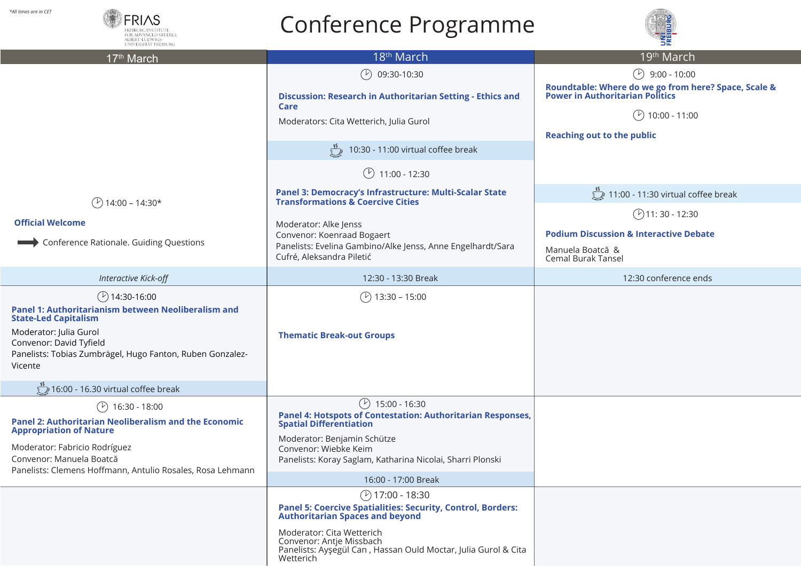## Conference Programme



| All times are in CET!<br><b>FRIAS</b><br>FOR ADVANCED STUDIE<br>ALBERT-LUDWIGS-<br>INIVERSITÄT FREIBURG                                                                                                                                           | Conference Programme                                                                                                                                                                                                                                                                                |                                                                                                                                                                   |
|---------------------------------------------------------------------------------------------------------------------------------------------------------------------------------------------------------------------------------------------------|-----------------------------------------------------------------------------------------------------------------------------------------------------------------------------------------------------------------------------------------------------------------------------------------------------|-------------------------------------------------------------------------------------------------------------------------------------------------------------------|
| 17 <sup>th</sup> March                                                                                                                                                                                                                            | 18 <sup>th</sup> March                                                                                                                                                                                                                                                                              | 19 <sup>th</sup> March                                                                                                                                            |
|                                                                                                                                                                                                                                                   | $\mathcal{P}$<br>09:30-10:30<br>Discussion: Research in Authoritarian Setting - Ethics and<br>Care<br>Moderators: Cita Wetterich, Julia Gurol<br>10:30 - 11:00 virtual coffee break<br>$(\mathcal{V})$<br>11:00 - 12:30                                                                             | $(9.00 - 10.00)$<br>Roundtable: Where do we go from here? Space, Scale &<br>Power in Authoritarian Politics<br>10:00 - 11:00<br><b>Reaching out to the public</b> |
| $\binom{1}{1}$ 14:00 – 14:30*                                                                                                                                                                                                                     | Panel 3: Democracy's Infrastructure: Multi-Scalar State<br><b>Transformations &amp; Coercive Cities</b>                                                                                                                                                                                             | 11:00 - 11:30 virtual coffee break                                                                                                                                |
| <b>Official Welcome</b><br>Conference Rationale. Guiding Questions                                                                                                                                                                                | Moderator: Alke Jenss<br>Convenor: Koenraad Bogaert<br>Panelists: Evelina Gambino/Alke Jenss, Anne Engelhardt/Sara<br>Cufré, Aleksandra Piletić                                                                                                                                                     | $(P)$ 11:30 - 12:30<br><b>Podium Discussion &amp; Interactive Debate</b><br>Manuela Boatcă &<br>Cemal Burak Tansel                                                |
| Interactive Kick-off                                                                                                                                                                                                                              | 12:30 - 13:30 Break                                                                                                                                                                                                                                                                                 | 12:30 conference ends                                                                                                                                             |
| $($ 2) 14:30-16:00<br>Panel 1: Authoritarianism between Neoliberalism and<br><b>State-Led Capitalism</b><br>Moderator: Julia Gurol<br>Convenor: David Tyfield<br>Panelists: Tobias Zumbrägel, Hugo Fanton, Ruben Gonzalez-<br>Vicente             | $13:30 - 15:00$<br><b>Thematic Break-out Groups</b>                                                                                                                                                                                                                                                 |                                                                                                                                                                   |
| 16:00 - 16.30 virtual coffee break                                                                                                                                                                                                                |                                                                                                                                                                                                                                                                                                     |                                                                                                                                                                   |
| (V)<br>16:30 - 18:00<br><b>Panel 2: Authoritarian Neoliberalism and the Economic</b><br><b>Appropriation of Nature</b><br>Moderator: Fabricio Rodríguez<br>Convenor: Manuela Boatcă<br>Panelists: Clemens Hoffmann, Antulio Rosales, Rosa Lehmann | $\circled{r}$<br>15:00 - 16:30<br>Panel 4: Hotspots of Contestation: Authoritarian Responses,<br>Spatial Differentiation<br>Moderator: Benjamin Schütze<br>Convenor: Wiebke Keim<br>Panelists: Koray Saglam, Katharina Nicolai, Sharri Plonski                                                      |                                                                                                                                                                   |
|                                                                                                                                                                                                                                                   | 16:00 - 17:00 Break<br>$($ 2) 17:00 - 18:30<br><b>Panel 5: Coercive Spatialities: Security, Control, Borders:</b><br><b>Authoritarian Spaces and beyond</b><br>Moderator: Cita Wetterich<br>Convenor: Antje Missbach<br>Panelists: Ayşegül Can, Hassan Ould Moctar, Julia Gurol & Cita<br>Wetterich |                                                                                                                                                                   |